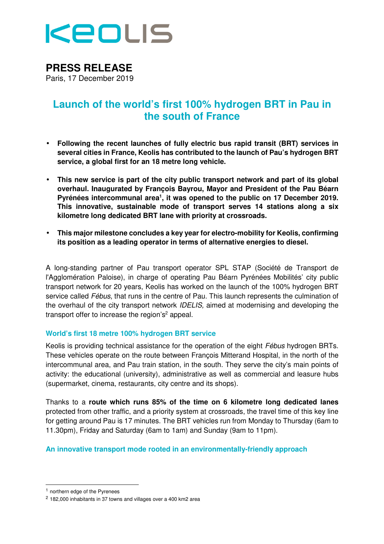

# **PRESS RELEASE**

Paris, 17 December 2019

## **Launch of the world's first 100% hydrogen BRT in Pau in the south of France**

- **Following the recent launches of fully electric bus rapid transit (BRT) services in several cities in France, Keolis has contributed to the launch of Pau's hydrogen BRT service, a global first for an 18 metre long vehicle.**
- **This new service is part of the city public transport network and part of its global overhaul. Inaugurated by François Bayrou, Mayor and President of the Pau Béarn Pyrénées intercommunal area<sup>1</sup> , it was opened to the public on 17 December 2019. This innovative, sustainable mode of transport serves 14 stations along a six kilometre long dedicated BRT lane with priority at crossroads.**
- **This major milestone concludes a key year for electro-mobility for Keolis, confirming its position as a leading operator in terms of alternative energies to diesel.**

A long-standing partner of Pau transport operator SPL STAP (Société de Transport de l'Agglomération Paloise), in charge of operating Pau Béarn Pyrénées Mobilités' city public transport network for 20 years, Keolis has worked on the launch of the 100% hydrogen BRT service called Fébus, that runs in the centre of Pau. This launch represents the culmination of the overhaul of the city transport network IDELIS, aimed at modernising and developing the transport offer to increase the region's<sup>2</sup> appeal.

#### **World's first 18 metre 100% hydrogen BRT service**

Keolis is providing technical assistance for the operation of the eight *Fébus* hydrogen BRTs. These vehicles operate on the route between François Mitterand Hospital, in the north of the intercommunal area, and Pau train station, in the south. They serve the city's main points of activity: the educational (university), administrative as well as commercial and leasure hubs (supermarket, cinema, restaurants, city centre and its shops).

Thanks to a **route which runs 85% of the time on 6 kilometre long dedicated lanes** protected from other traffic, and a priority system at crossroads, the travel time of this key line for getting around Pau is 17 minutes. The BRT vehicles run from Monday to Thursday (6am to 11.30pm), Friday and Saturday (6am to 1am) and Sunday (9am to 11pm).

#### **An innovative transport mode rooted in an environmentally-friendly approach**

<sup>1</sup> northern edge of the Pyrenees

<sup>2</sup> 182,000 inhabitants in 37 towns and villages over a 400 km2 area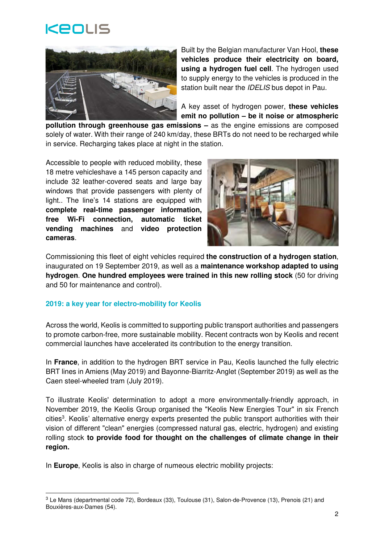



Built by the Belgian manufacturer Van Hool, **these vehicles produce their electricity on board, using a hydrogen fuel cell**. The hydrogen used to supply energy to the vehicles is produced in the station built near the IDELIS bus depot in Pau.

A key asset of hydrogen power, **these vehicles emit no pollution – be it noise or atmospheric** 

**pollution through greenhouse gas emissions –** as the engine emissions are composed solely of water. With their range of 240 km/day, these BRTs do not need to be recharged while in service. Recharging takes place at night in the station.

Accessible to people with reduced mobility, these 18 metre vehicleshave a 145 person capacity and include 32 leather-covered seats and large bay windows that provide passengers with plenty of light.. The line's 14 stations are equipped with **complete real-time passenger information, free Wi-Fi connection, automatic ticket vending machines** and **video protection cameras**.



Commissioning this fleet of eight vehicles required **the construction of a hydrogen station**, inaugurated on 19 September 2019, as well as a **maintenance workshop adapted to using hydrogen**. **One hundred employees were trained in this new rolling stock** (50 for driving and 50 for maintenance and control).

#### **2019: a key year for electro-mobility for Keolis**

-

Across the world, Keolis is committed to supporting public transport authorities and passengers to promote carbon-free, more sustainable mobility. Recent contracts won by Keolis and recent commercial launches have accelerated its contribution to the energy transition.

In **France**, in addition to the hydrogen BRT service in Pau, Keolis launched the fully electric BRT lines in Amiens (May 2019) and Bayonne-Biarritz-Anglet (September 2019) as well as the Caen steel-wheeled tram (July 2019).

To illustrate Keolis' determination to adopt a more environmentally-friendly approach, in November 2019, the Keolis Group organised the "Keolis New Energies Tour" in six French cities<sup>3</sup>. Keolis' alternative energy experts presented the public transport authorities with their vision of different "clean" energies (compressed natural gas, electric, hydrogen) and existing rolling stock **to provide food for thought on the challenges of climate change in their region.** 

In **Europe**, Keolis is also in charge of numeous electric mobility projects:

<sup>3</sup> Le Mans (departmental code 72), Bordeaux (33), Toulouse (31), Salon-de-Provence (13), Prenois (21) and Bouxières-aux-Dames (54).